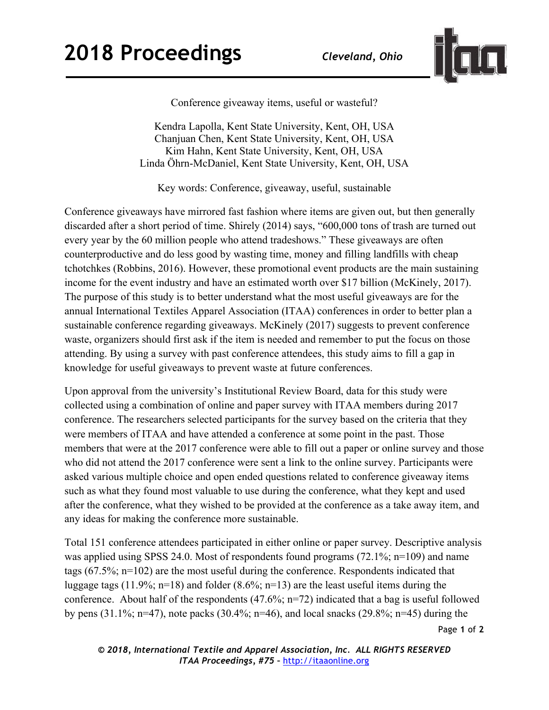

Conference giveaway items, useful or wasteful?

Kendra Lapolla, Kent State University, Kent, OH, USA Chanjuan Chen, Kent State University, Kent, OH, USA Kim Hahn, Kent State University, Kent, OH, USA Linda Öhrn-McDaniel, Kent State University, Kent, OH, USA

Key words: Conference, giveaway, useful, sustainable

Conference giveaways have mirrored fast fashion where items are given out, but then generally discarded after a short period of time. Shirely (2014) says, "600,000 tons of trash are turned out every year by the 60 million people who attend tradeshows." These giveaways are often counterproductive and do less good by wasting time, money and filling landfills with cheap tchotchkes (Robbins, 2016). However, these promotional event products are the main sustaining income for the event industry and have an estimated worth over \$17 billion (McKinely, 2017). The purpose of this study is to better understand what the most useful giveaways are for the annual International Textiles Apparel Association (ITAA) conferences in order to better plan a sustainable conference regarding giveaways. McKinely (2017) suggests to prevent conference waste, organizers should first ask if the item is needed and remember to put the focus on those attending. By using a survey with past conference attendees, this study aims to fill a gap in knowledge for useful giveaways to prevent waste at future conferences.

Upon approval from the university's Institutional Review Board, data for this study were collected using a combination of online and paper survey with ITAA members during 2017 conference. The researchers selected participants for the survey based on the criteria that they were members of ITAA and have attended a conference at some point in the past. Those members that were at the 2017 conference were able to fill out a paper or online survey and those who did not attend the 2017 conference were sent a link to the online survey. Participants were asked various multiple choice and open ended questions related to conference giveaway items such as what they found most valuable to use during the conference, what they kept and used after the conference, what they wished to be provided at the conference as a take away item, and any ideas for making the conference more sustainable.

Total 151 conference attendees participated in either online or paper survey. Descriptive analysis was applied using SPSS 24.0. Most of respondents found programs (72.1%; n=109) and name tags (67.5%; n=102) are the most useful during the conference. Respondents indicated that luggage tags (11.9%; n=18) and folder (8.6%; n=13) are the least useful items during the conference. About half of the respondents (47.6%; n=72) indicated that a bag is useful followed by pens  $(31.1\%; n=47)$ , note packs  $(30.4\%; n=46)$ , and local snacks  $(29.8\%; n=45)$  during the

Page **1** of **2**

*© 2018, International Textile and Apparel Association, Inc. ALL RIGHTS RESERVED ITAA Proceedings, #75 –* http://itaaonline.org